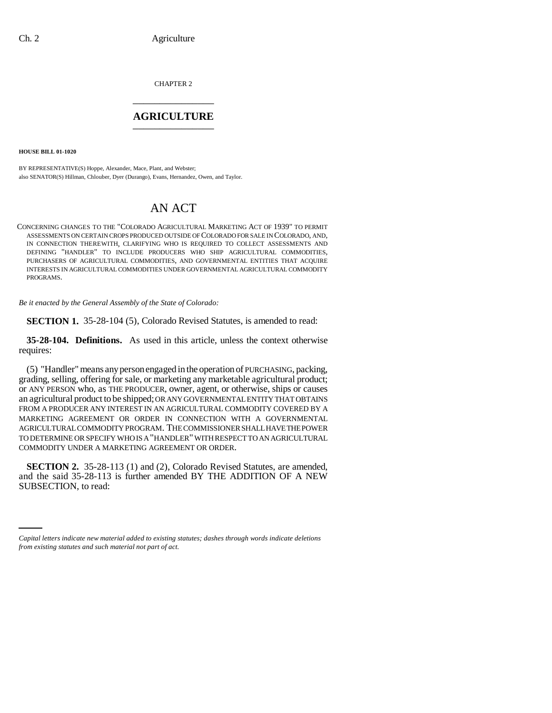CHAPTER 2 \_\_\_\_\_\_\_\_\_\_\_\_\_\_\_

### **AGRICULTURE** \_\_\_\_\_\_\_\_\_\_\_\_\_\_\_

**HOUSE BILL 01-1020**

BY REPRESENTATIVE(S) Hoppe, Alexander, Mace, Plant, and Webster; also SENATOR(S) Hillman, Chlouber, Dyer (Durango), Evans, Hernandez, Owen, and Taylor.

# AN ACT

CONCERNING CHANGES TO THE "COLORADO AGRICULTURAL MARKETING ACT OF 1939" TO PERMIT ASSESSMENTS ON CERTAIN CROPS PRODUCED OUTSIDE OF COLORADO FOR SALE IN COLORADO, AND, IN CONNECTION THEREWITH, CLARIFYING WHO IS REQUIRED TO COLLECT ASSESSMENTS AND DEFINING "HANDLER" TO INCLUDE PRODUCERS WHO SHIP AGRICULTURAL COMMODITIES, PURCHASERS OF AGRICULTURAL COMMODITIES, AND GOVERNMENTAL ENTITIES THAT ACQUIRE INTERESTS IN AGRICULTURAL COMMODITIES UNDER GOVERNMENTAL AGRICULTURAL COMMODITY PROGRAMS.

*Be it enacted by the General Assembly of the State of Colorado:*

**SECTION 1.** 35-28-104 (5), Colorado Revised Statutes, is amended to read:

**35-28-104. Definitions.** As used in this article, unless the context otherwise requires:

(5) "Handler" means any person engaged in the operation of PURCHASING, packing, grading, selling, offering for sale, or marketing any marketable agricultural product; or ANY PERSON who, as THE PRODUCER, owner, agent, or otherwise, ships or causes an agricultural product to be shipped; OR ANY GOVERNMENTAL ENTITY THAT OBTAINS FROM A PRODUCER ANY INTEREST IN AN AGRICULTURAL COMMODITY COVERED BY A MARKETING AGREEMENT OR ORDER IN CONNECTION WITH A GOVERNMENTAL AGRICULTURAL COMMODITY PROGRAM. THE COMMISSIONER SHALL HAVE THE POWER TO DETERMINE OR SPECIFY WHO IS A "HANDLER" WITH RESPECT TO AN AGRICULTURAL COMMODITY UNDER A MARKETING AGREEMENT OR ORDER.

and the said 33-28-113<br>SUBSECTION, to read: **SECTION 2.** 35-28-113 (1) and (2), Colorado Revised Statutes, are amended, and the said 35-28-113 is further amended BY THE ADDITION OF A NEW

*Capital letters indicate new material added to existing statutes; dashes through words indicate deletions from existing statutes and such material not part of act.*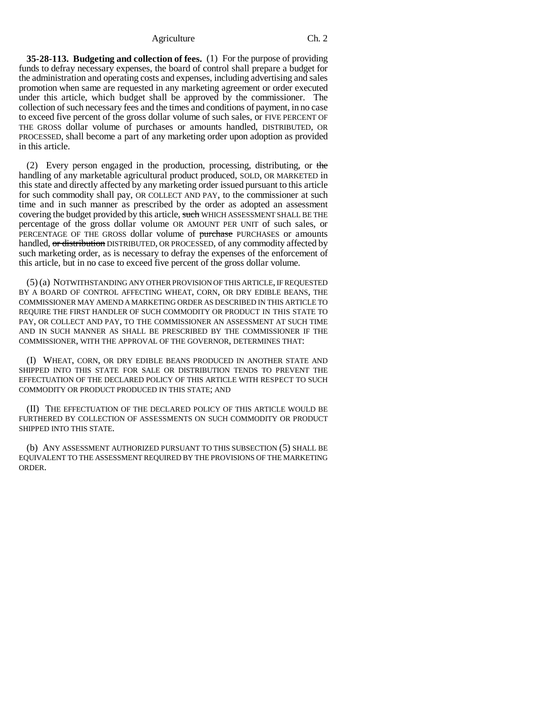#### Agriculture Ch. 2

**35-28-113. Budgeting and collection of fees.** (1) For the purpose of providing funds to defray necessary expenses, the board of control shall prepare a budget for the administration and operating costs and expenses, including advertising and sales promotion when same are requested in any marketing agreement or order executed under this article, which budget shall be approved by the commissioner. The collection of such necessary fees and the times and conditions of payment, in no case to exceed five percent of the gross dollar volume of such sales, or FIVE PERCENT OF THE GROSS dollar volume of purchases or amounts handled, DISTRIBUTED, OR PROCESSED, shall become a part of any marketing order upon adoption as provided in this article.

(2) Every person engaged in the production, processing, distributing, or the handling of any marketable agricultural product produced, SOLD, OR MARKETED in this state and directly affected by any marketing order issued pursuant to this article for such commodity shall pay, OR COLLECT AND PAY, to the commissioner at such time and in such manner as prescribed by the order as adopted an assessment covering the budget provided by this article, such WHICH ASSESSMENT SHALL BE THE percentage of the gross dollar volume OR AMOUNT PER UNIT of such sales, or PERCENTAGE OF THE GROSS dollar volume of purchase PURCHASES or amounts handled, or distribution DISTRIBUTED, OR PROCESSED, of any commodity affected by such marketing order, as is necessary to defray the expenses of the enforcement of this article, but in no case to exceed five percent of the gross dollar volume.

(5) (a) NOTWITHSTANDING ANY OTHER PROVISION OF THIS ARTICLE, IF REQUESTED BY A BOARD OF CONTROL AFFECTING WHEAT, CORN, OR DRY EDIBLE BEANS, THE COMMISSIONER MAY AMEND A MARKETING ORDER AS DESCRIBED IN THIS ARTICLE TO REQUIRE THE FIRST HANDLER OF SUCH COMMODITY OR PRODUCT IN THIS STATE TO PAY, OR COLLECT AND PAY, TO THE COMMISSIONER AN ASSESSMENT AT SUCH TIME AND IN SUCH MANNER AS SHALL BE PRESCRIBED BY THE COMMISSIONER IF THE COMMISSIONER, WITH THE APPROVAL OF THE GOVERNOR, DETERMINES THAT:

(I) WHEAT, CORN, OR DRY EDIBLE BEANS PRODUCED IN ANOTHER STATE AND SHIPPED INTO THIS STATE FOR SALE OR DISTRIBUTION TENDS TO PREVENT THE EFFECTUATION OF THE DECLARED POLICY OF THIS ARTICLE WITH RESPECT TO SUCH COMMODITY OR PRODUCT PRODUCED IN THIS STATE; AND

(II) THE EFFECTUATION OF THE DECLARED POLICY OF THIS ARTICLE WOULD BE FURTHERED BY COLLECTION OF ASSESSMENTS ON SUCH COMMODITY OR PRODUCT SHIPPED INTO THIS STATE.

(b) ANY ASSESSMENT AUTHORIZED PURSUANT TO THIS SUBSECTION (5) SHALL BE EQUIVALENT TO THE ASSESSMENT REQUIRED BY THE PROVISIONS OF THE MARKETING ORDER.